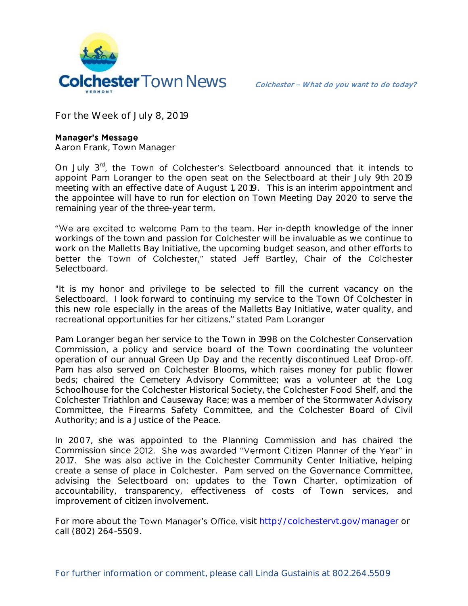

**For the Week of July 8, 2019**

## **Manager's Message**

**Aaron Frank, Town Manager**

On July  $3^{rd}$ , the Town of Colchester's Selectboard announced that it intends to appoint Pam Loranger to the open seat on the Selectboard at their July 9th 2019 meeting with an effective date of August 1, 2019. This is an interim appointment and the appointee will have to run for election on Town Meeting Day 2020 to serve the remaining year of the three-year term.

"We are excited to welcome Pam to the team. Her in-depth knowledge of the inner workings of the town and passion for Colchester will be invaluable as we continue to work on the Malletts Bay Initiative, the upcoming budget season, and other efforts to better the Town of Colchester," stated Jeff Bartley, Chair of the Colchester **Selectboard.** 

"It is my honor and privilege to be selected to fill the current vacancy on the Selectboard. I look forward to continuing my service to the Town Of Colchester in this new role especially in the areas of the Malletts Bay Initiative, water quality, and recreational opportunities for her citizens," stated Pam Loranger

Pam Loranger began her service to the Town in 1998 on the Colchester Conservation Commission, a policy and service board of the Town coordinating the volunteer operation of our annual Green Up Day and the recently discontinued Leaf Drop-off. Pam has also served on Colchester Blooms, which raises money for public flower beds; chaired the Cemetery Advisory Committee; was a volunteer at the Log Schoolhouse for the Colchester Historical Society, the Colchester Food Shelf, and the Colchester Triathlon and Causeway Race; was a member of the Stormwater Advisory Committee, the Firearms Safety Committee, and the Colchester Board of Civil Authority; and is a Justice of the Peace.

In 2007, she was appointed to the Planning Commission and has chaired the Commission since 2012. She was awarded "Vermont Citizen Planner of the Year" in 2017. She was also active in the Colchester Community Center Initiative, helping create a sense of place in Colchester. Pam served on the Governance Committee, advising the Selectboard on: updates to the Town Charter, optimization of accountability, transparency, effectiveness of costs of Town services, and improvement of citizen involvement.

For more about the Town Manager's Office, visit<http://colchestervt.gov/manager> or call (802) 264-5509.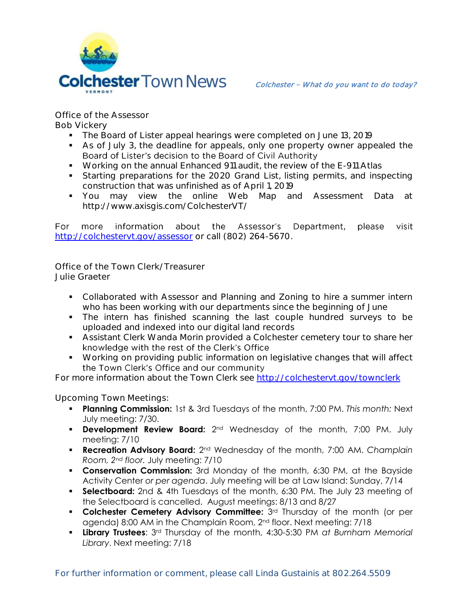

**Office of the Assessor Bob Vickery**

- The Board of Lister appeal hearings were completed on June 13, 2019
- As of July 3, the deadline for appeals, only one property owner appealed the Board of Lister's decision to the Board of Civil Authority
- Working on the annual Enhanced 911 audit, the review of the E-911 Atlas
- Starting preparations for the 2020 Grand List, listing permits, and inspecting construction that was unfinished as of April 1, 2019
- You may view the online Web Map and Assessment Data at http://www.axisgis.com/ColchesterVT/

For more information about the Assessor's Department, please visit <http://colchestervt.gov/assessor> or call (802) 264-5670.

**Office of the Town Clerk/Treasurer Julie Graeter**

- Collaborated with Assessor and Planning and Zoning to hire a summer intern who has been working with our departments since the beginning of June
- The intern has finished scanning the last couple hundred surveys to be uploaded and indexed into our digital land records
- Assistant Clerk Wanda Morin provided a Colchester cemetery tour to share her knowledge with the rest of the Clerk's Office
- Working on providing public information on legislative changes that will affect the Town Clerk's Office and our community

For more information about the Town Clerk see<http://colchestervt.gov/townclerk>

**Upcoming Town Meetings:** 

- **Planning Commission:** 1st & 3rd Tuesdays of the month, 7:00 PM. *This month:* Next July meeting: 7/30.
- **Development Review Board:** 2<sup>nd</sup> Wednesday of the month, 7:00 PM. July meeting: 7/10
- **Recreation Advisory Board:** 2nd Wednesday of the month, 7:00 AM. *Champlain Room, 2nd floor.* July meeting: 7/10
- **Conservation Commission:** 3rd Monday of the month, 6:30 PM, at the Bayside Activity Center *or per agenda*. July meeting will be at Law Island: Sunday, 7/14
- **Selectboard:** 2nd & 4th Tuesdays of the month, 6:30 PM. The July 23 meeting of the Selectboard is cancelled. August meetings: 8/13 and 8/27
- **Colchester Cemetery Advisory Committee:** 3<sup>rd</sup> Thursday of the month (or per agenda) 8:00 AM in the Champlain Room, 2nd floor. Next meeting: 7/18
- **Library Trustees**: 3rd Thursday of the month, 4:30-5:30 PM *at Burnham Memorial Library*. Next meeting: 7/18